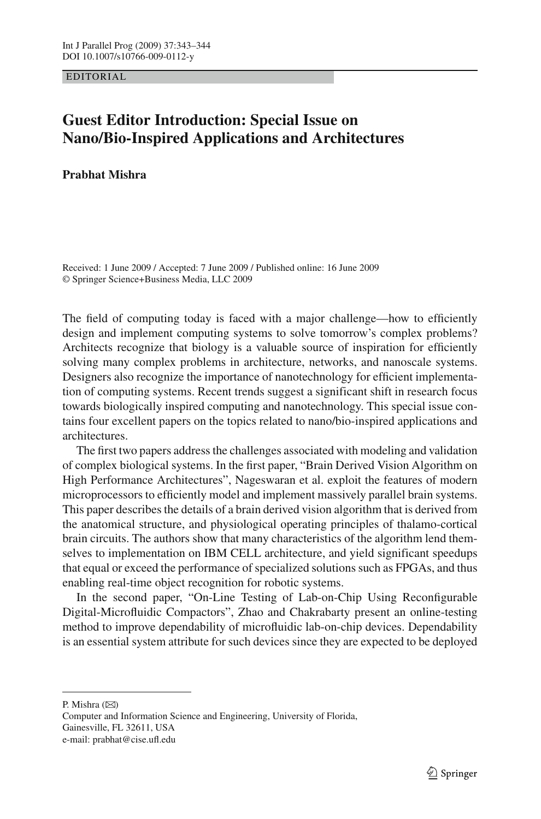EDITORIAL

## **Guest Editor Introduction: Special Issue on Nano/Bio-Inspired Applications and Architectures**

**Prabhat Mishra**

Received: 1 June 2009 / Accepted: 7 June 2009 / Published online: 16 June 2009 © Springer Science+Business Media, LLC 2009

The field of computing today is faced with a major challenge—how to efficiently design and implement computing systems to solve tomorrow's complex problems? Architects recognize that biology is a valuable source of inspiration for efficiently solving many complex problems in architecture, networks, and nanoscale systems. Designers also recognize the importance of nanotechnology for efficient implementation of computing systems. Recent trends suggest a significant shift in research focus towards biologically inspired computing and nanotechnology. This special issue contains four excellent papers on the topics related to nano/bio-inspired applications and architectures.

The first two papers address the challenges associated with modeling and validation of complex biological systems. In the first paper, "Brain Derived Vision Algorithm on High Performance Architectures", Nageswaran et al. exploit the features of modern microprocessors to efficiently model and implement massively parallel brain systems. This paper describes the details of a brain derived vision algorithm that is derived from the anatomical structure, and physiological operating principles of thalamo-cortical brain circuits. The authors show that many characteristics of the algorithm lend themselves to implementation on IBM CELL architecture, and yield significant speedups that equal or exceed the performance of specialized solutions such as FPGAs, and thus enabling real-time object recognition for robotic systems.

In the second paper, "On-Line Testing of Lab-on-Chip Using Reconfigurable Digital-Microfluidic Compactors", Zhao and Chakrabarty present an online-testing method to improve dependability of microfluidic lab-on-chip devices. Dependability is an essential system attribute for such devices since they are expected to be deployed

P. Mishra  $(\boxtimes)$ 

Computer and Information Science and Engineering, University of Florida, Gainesville, FL 32611, USA e-mail: prabhat@cise.ufl.edu